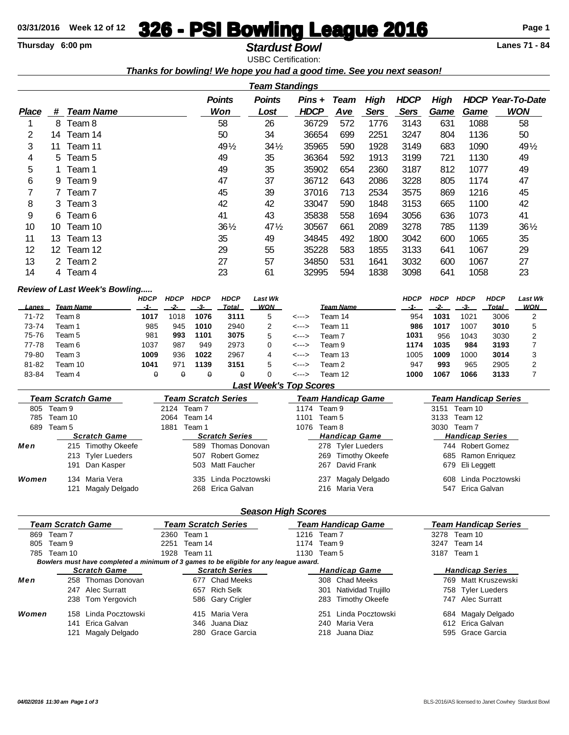# **03/31/2016** Week 12 of 12 **326 - PSI Bowling League 2016** Page 1<br> **Thursday 6:00 pm**

# **Thursday 6:00 pm Stardust Bowl** USBC Certification:

*Thanks for bowling! We hope you had a good time. See you next season!*

|              | <b>Team Standings</b> |                  |                 |                 |             |             |             |             |             |      |                          |
|--------------|-----------------------|------------------|-----------------|-----------------|-------------|-------------|-------------|-------------|-------------|------|--------------------------|
|              |                       |                  | <b>Points</b>   | <b>Points</b>   | Pins +      | <b>Team</b> | <b>High</b> | <b>HDCP</b> | <b>High</b> |      | <b>HDCP Year-To-Date</b> |
| <b>Place</b> | #                     | <b>Team Name</b> | <b>Won</b>      | Lost            | <b>HDCP</b> | Ave         | <b>Sers</b> | <b>Sers</b> | <u>Game</u> | Game | <b>WON</b>               |
|              | 8                     | Team 8           | 58              | 26              | 36729       | 572         | 1776        | 3143        | 631         | 1088 | 58                       |
| 2            | 14.                   | Team 14          | 50              | 34              | 36654       | 699         | 2251        | 3247        | 804         | 1136 | 50                       |
| 3            | 11                    | Team 11          | 491/2           | $34\frac{1}{2}$ | 35965       | 590         | 1928        | 3149        | 683         | 1090 | 491/2                    |
| 4            |                       | 5 Team 5         | 49              | 35              | 36364       | 592         | 1913        | 3199        | 721         | 1130 | 49                       |
| 5            |                       | 1 Team 1         | 49              | 35              | 35902       | 654         | 2360        | 3187        | 812         | 1077 | 49                       |
| 6            |                       | 9 Team 9         | 47              | 37              | 36712       | 643         | 2086        | 3228        | 805         | 1174 | 47                       |
| 7            |                       | 7 Team 7         | 45              | 39              | 37016       | 713         | 2534        | 3575        | 869         | 1216 | 45                       |
| 8            |                       | 3 Team 3         | 42              | 42              | 33047       | 590         | 1848        | 3153        | 665         | 1100 | 42                       |
| 9            |                       | 6 Team 6         | 41              | 43              | 35838       | 558         | 1694        | 3056        | 636         | 1073 | 41                       |
| 10           | 10                    | Team 10          | $36\frac{1}{2}$ | $47\frac{1}{2}$ | 30567       | 661         | 2089        | 3278        | 785         | 1139 | $36\frac{1}{2}$          |
| 11           | 13.                   | Team 13          | 35              | 49              | 34845       | 492         | 1800        | 3042        | 600         | 1065 | 35                       |
| 12           |                       | 12 Team 12       | 29              | 55              | 35228       | 583         | 1855        | 3133        | 641         | 1067 | 29                       |
| 13           |                       | 2 Team 2         | 27              | 57              | 34850       | 531         | 1641        | 3032        | 600         | 1067 | 27                       |
| 14           |                       | 4 Team 4         | 23              | 61              | 32995       | 594         | 1838        | 3098        | 641         | 1058 | 23                       |

#### *Review of Last Week's Bowling.....*

|              |           | <b>HDCP</b> | <b>HDCP</b> | <b>HDCP</b> | <b>HDCP</b> | Last Wk |       |                  | <b>HDCP</b> | <b>HDCP</b> | <b>HDCP</b> | <b>HDCP</b> | Last Wk |
|--------------|-----------|-------------|-------------|-------------|-------------|---------|-------|------------------|-------------|-------------|-------------|-------------|---------|
| <b>Lanes</b> | Team Name |             |             |             | Total       | WON     |       | <b>Team Name</b> |             |             | -3-         | Total       | WON     |
| 71-72        | Team 8    | 1017        | 1018        | 1076        | 3111        | 5       | <---> | Team 14          | 954         | 1031        | 1021        | 3006        |         |
| 73-74        | Feam 1    | 985         | 945         | 1010        | 2940        |         | <---> | Team 11          | 986         | 1017        | 1007        | 3010        |         |
| 75-76        | Team 5    | 981         | 993         | 1101        | 3075        | 5       | <---> | Team 7           | 1031        | 956         | 1043        | 3030        |         |
| 77-78        | Team 6    | 1037        | 987         | 949         | 2973        |         | <---> | Team 9           | 1174        | 1035        | 984         | 3193        |         |
| 79-80        | Team 3    | 1009        | 936         | 1022        | 2967        | 4       | <---> | Team 13          | 1005        | 1009        | 1000        | 3014        |         |
| 81-82        | Team 10   | 1041        | 97'         | 1139        | 3151        | 5       | <---> | Team 2           | 947         | 993         | 965         | 2905        |         |
| 83-84        | Team 4    | θ           |             |             | θ           |         | <---> | Team 12          | 1000        | 1067        | 1066        | 3133        |         |

### *Last Week's Top Scores*

| <b>Team Scratch Game</b> |                          |                    |      |                       | <b>Team Scratch Series</b> |                |                      | <b>Team Handicap Game</b> | <b>Team Handicap Series</b> |                      |  |  |  |
|--------------------------|--------------------------|--------------------|------|-----------------------|----------------------------|----------------|----------------------|---------------------------|-----------------------------|----------------------|--|--|--|
| 805                      | Team 9                   |                    | 2124 | Team 7                |                            | 1174           | Team 9               |                           | 3151                        | Team 10              |  |  |  |
| 785                      | Team 10                  |                    | 2064 | Team 14               |                            | 1101           | Team 5               |                           | 3133                        | Team 12              |  |  |  |
| 689                      | Team 1<br>1881<br>Team 5 |                    | 1076 | Team 8                |                            | 3030<br>Team 7 |                      |                           |                             |                      |  |  |  |
|                          | <b>Scratch Game</b>      |                    |      | <b>Scratch Series</b> |                            |                | <b>Handicap Game</b> | <b>Handicap Series</b>    |                             |                      |  |  |  |
| Men                      |                          | 215 Timothy Okeefe |      |                       | 589 Thomas Donovan         |                |                      | 278 Tyler Lueders         |                             | 744 Robert Gomez     |  |  |  |
|                          |                          | 213 Tyler Lueders  |      | 507                   | <b>Robert Gomez</b>        |                |                      | 269 Timothy Okeefe        |                             | 685 Ramon Enriquez   |  |  |  |
|                          | 191                      | Dan Kasper         |      |                       | 503 Matt Faucher           |                |                      | 267 David Frank           |                             | 679 Eli Leggett      |  |  |  |
| Women                    | 134                      | Maria Vera         |      |                       | 335 Linda Pocztowski       |                | 237                  | Magaly Delgado            |                             | 608 Linda Pocztowski |  |  |  |
|                          | 121                      | Magaly Delgado     |      |                       | 268 Erica Galvan           |                |                      | 216 Maria Vera            |                             | 547 Erica Galvan     |  |  |  |

## *Season High Scores*

| Team Scratch Game |                     |                                                                                       |      | <b>Team Scratch Series</b> |                  |             | Team Handicap Game   | <b>Team Handicap Series</b> |                |                      |  |  |
|-------------------|---------------------|---------------------------------------------------------------------------------------|------|----------------------------|------------------|-------------|----------------------|-----------------------------|----------------|----------------------|--|--|
| 869               | Team 7              |                                                                                       | 2360 | Team 1                     | 1216             | Team 7      |                      | Team 10<br>3278             |                |                      |  |  |
| 805               | Team 9              |                                                                                       | 2251 | Team 14                    |                  | 1174 Team 9 |                      |                             | 3247           | Team 14              |  |  |
| 785.              | Team 10             |                                                                                       |      |                            | 1928 Team 11     |             | 1130 Team 5          |                             | 3187<br>Team 1 |                      |  |  |
|                   |                     | Bowlers must have completed a minimum of 3 games to be eligible for any league award. |      |                            |                  |             |                      |                             |                |                      |  |  |
|                   | <b>Scratch Game</b> |                                                                                       |      | <b>Scratch Series</b>      |                  |             | <b>Handicap Game</b> | <b>Handicap Series</b>      |                |                      |  |  |
| Men               |                     | 258 Thomas Donovan                                                                    |      | 677                        | Chad Meeks       |             |                      | 308 Chad Meeks              |                | 769 Matt Kruszewski  |  |  |
|                   |                     | 247 Alec Surratt                                                                      |      | 657                        | Rich Selk        |             | 301                  | Natividad Trujillo          | 758            | <b>Tyler Lueders</b> |  |  |
|                   |                     | 238 Tom Yergovich                                                                     |      |                            | 586 Gary Crigler |             | 283                  | <b>Timothy Okeefe</b>       |                | 747 Alec Surratt     |  |  |
| Women             | 158                 | Linda Pocztowski                                                                      |      |                            | 415 Maria Vera   |             |                      | 251 Linda Pocztowski        |                | 684 Magaly Delgado   |  |  |
|                   | 141                 | Erica Galvan                                                                          |      |                            | 346 Juana Diaz   |             | 240                  | Maria Vera                  |                | 612 Erica Galvan     |  |  |
|                   | 121                 | Magaly Delgado                                                                        |      |                            | 280 Grace Garcia |             |                      | 218 Juana Diaz              |                | 595 Grace Garcia     |  |  |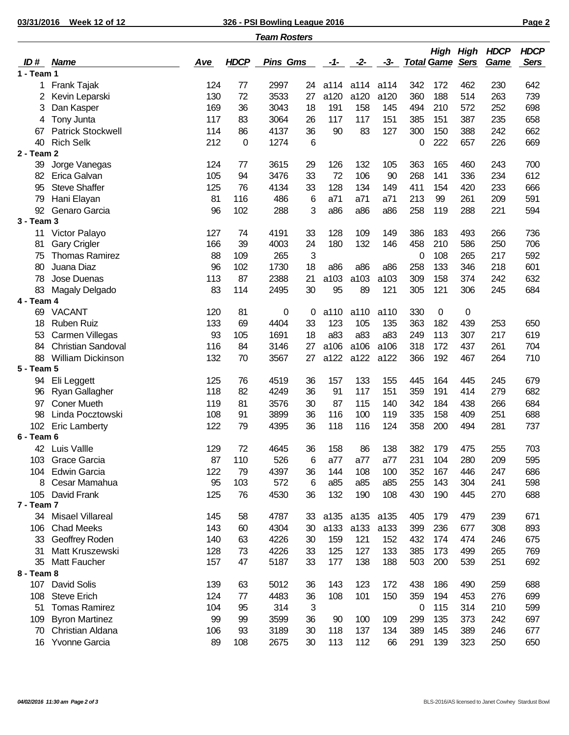**03/31/2016 Week 12 of 12 326 - PSI Bowling League 2016 Page 2**

|              |                          |            |             | <b>Team Rosters</b> |    |      |       |       |             |     |     |                                                      |                            |
|--------------|--------------------------|------------|-------------|---------------------|----|------|-------|-------|-------------|-----|-----|------------------------------------------------------|----------------------------|
| ID#          | <b>Name</b>              | <u>Ave</u> | <b>HDCP</b> | <b>Pins Gms</b>     |    | -1-  | $-2-$ | $-3-$ |             |     |     | <b>High High HDCP</b><br><b>Total Game Sers Game</b> | <b>HDCP</b><br><b>Sers</b> |
| $1 - Team 1$ |                          |            |             |                     |    |      |       |       |             |     |     |                                                      |                            |
| 1            | Frank Tajak              | 124        | 77          | 2997                | 24 | a114 | a114  | a114  | 342         | 172 | 462 | 230                                                  | 642                        |
| 2            | Kevin Leparski           | 130        | 72          | 3533                | 27 | a120 | a120  | a120  | 360         | 188 | 514 | 263                                                  | 739                        |
| 3            | Dan Kasper               | 169        | 36          | 3043                | 18 | 191  | 158   | 145   | 494         | 210 | 572 | 252                                                  | 698                        |
| 4            | Tony Junta               | 117        | 83          | 3064                | 26 | 117  | 117   | 151   | 385         | 151 | 387 | 235                                                  | 658                        |
| 67           | <b>Patrick Stockwell</b> | 114        | 86          | 4137                | 36 | 90   | 83    | 127   | 300         | 150 | 388 | 242                                                  | 662                        |
| 40           | <b>Rich Selk</b>         | 212        | 0           | 1274                | 6  |      |       |       | 0           | 222 | 657 | 226                                                  | 669                        |
| 2 - Team 2   |                          |            |             |                     |    |      |       |       |             |     |     |                                                      |                            |
| 39           | Jorge Vanegas            | 124        | 77          | 3615                | 29 | 126  | 132   | 105   | 363         | 165 | 460 | 243                                                  | 700                        |
| 82           | Erica Galvan             | 105        | 94          | 3476                | 33 | 72   | 106   | 90    | 268         | 141 | 336 | 234                                                  | 612                        |
| 95           | <b>Steve Shaffer</b>     | 125        | 76          | 4134                | 33 | 128  | 134   | 149   | 411         | 154 | 420 | 233                                                  | 666                        |
| 79           | Hani Elayan              | 81         | 116         | 486                 | 6  | a71  | a71   | a71   | 213         | 99  | 261 | 209                                                  | 591                        |
| 92           | Genaro Garcia            | 96         | 102         | 288                 | 3  | a86  | a86   | a86   | 258         | 119 | 288 | 221                                                  | 594                        |
| 3 - Team 3   |                          |            |             |                     |    |      |       |       |             |     |     |                                                      |                            |
| 11           | Victor Palayo            | 127        | 74          | 4191                | 33 | 128  | 109   | 149   | 386         | 183 | 493 | 266                                                  | 736                        |
| 81           | <b>Gary Crigler</b>      | 166        | 39          | 4003                | 24 | 180  | 132   | 146   | 458         | 210 | 586 | 250                                                  | 706                        |
| 75           | <b>Thomas Ramirez</b>    | 88         | 109         | 265                 | 3  |      |       |       | 0           | 108 | 265 | 217                                                  | 592                        |
| 80           | Juana Diaz               | 96         | 102         | 1730                | 18 | a86  | a86   | a86   | 258         | 133 | 346 | 218                                                  | 601                        |
| 78           | Jose Duenas              | 113        | 87          | 2388                | 21 | a103 | a103  | a103  | 309         | 158 | 374 | 242                                                  | 632                        |
| 83           | Magaly Delgado           | 83         | 114         | 2495                | 30 | 95   | 89    | 121   | 305         | 121 | 306 | 245                                                  | 684                        |
| 4 - Team 4   |                          |            |             |                     |    |      |       |       |             |     |     |                                                      |                            |
| 69           | <b>VACANT</b>            | 120        | 81          | 0                   | 0  | a110 | a110  | a110  | 330         | 0   | 0   |                                                      |                            |
| 18           | <b>Ruben Ruiz</b>        | 133        | 69          | 4404                | 33 | 123  | 105   | 135   | 363         | 182 | 439 | 253                                                  | 650                        |
| 53           | Carmen Villegas          | 93         | 105         | 1691                | 18 | a83  | a83   | a83   | 249         | 113 | 307 | 217                                                  | 619                        |
| 84           | Christian Sandoval       | 116        | 84          | 3146                | 27 | a106 | a106  | a106  | 318         | 172 | 437 | 261                                                  | 704                        |
| 88           | William Dickinson        | 132        | 70          | 3567                | 27 | a122 | a122  | a122  | 366         | 192 | 467 | 264                                                  | 710                        |
| 5 - Team 5   |                          |            |             |                     |    |      |       |       |             |     |     |                                                      |                            |
| 94           | Eli Leggett              | 125        | 76          | 4519                | 36 | 157  | 133   | 155   | 445         | 164 | 445 | 245                                                  | 679                        |
| 96           | <b>Ryan Gallagher</b>    | 118        | 82          | 4249                | 36 | 91   | 117   | 151   | 359         | 191 | 414 | 279                                                  | 682                        |
| 97           | <b>Coner Mueth</b>       | 119        | 81          | 3576                | 30 | 87   | 115   | 140   | 342         | 184 | 438 | 266                                                  | 684                        |
| 98           | Linda Pocztowski         | 108        | 91          | 3899                | 36 | 116  | 100   | 119   | 335         | 158 | 409 | 251                                                  | 688                        |
| 102          | <b>Eric Lamberty</b>     | 122        | 79          | 4395                | 36 | 118  | 116   | 124   | 358         | 200 | 494 | 281                                                  | 737                        |
| 6 - Team 6   |                          |            |             |                     |    |      |       |       |             |     |     |                                                      |                            |
|              | 42 Luis Vallle           | 129        | 72          | 4645                | 36 | 158  | 86    | 138   | 382         | 179 | 475 | 255                                                  | 703                        |
| 103          | Grace Garcia             | 87         | 110         | 526                 | 6  | a77  | a77   | a77   | 231         | 104 | 280 | 209                                                  | 595                        |
| 104          | <b>Edwin Garcia</b>      | 122        | 79          | 4397                | 36 | 144  | 108   | 100   | 352         | 167 | 446 | 247                                                  | 686                        |
| 8            | Cesar Mamahua            | 95         | 103         | 572                 | 6  | a85  | a85   | a85   | 255         | 143 | 304 | 241                                                  | 598                        |
| 105          | David Frank              | 125        | 76          | 4530                | 36 | 132  | 190   | 108   | 430         | 190 | 445 | 270                                                  | 688                        |
| 7 - Team 7   |                          |            |             |                     |    |      |       |       |             |     |     |                                                      |                            |
|              | 34 Misael Villareal      | 145        | 58          | 4787                | 33 | a135 | a135  | a135  | 405         | 179 | 479 | 239                                                  | 671                        |
| 106          | <b>Chad Meeks</b>        | 143        | 60          | 4304                | 30 | a133 | a133  | a133  | 399         | 236 | 677 | 308                                                  | 893                        |
| 33           | Geoffrey Roden           | 140        | 63          | 4226                | 30 | 159  | 121   | 152   | 432         | 174 | 474 | 246                                                  | 675                        |
| 31           | Matt Kruszewski          | 128        | 73          | 4226                | 33 | 125  | 127   | 133   | 385         | 173 | 499 | 265                                                  | 769                        |
| 35           | Matt Faucher             | 157        | 47          | 5187                | 33 | 177  | 138   | 188   | 503         | 200 | 539 | 251                                                  | 692                        |
| 8 - Team 8   |                          |            |             |                     |    |      |       |       |             |     |     |                                                      |                            |
| 107          | David Solis              | 139        | 63          | 5012                | 36 | 143  | 123   | 172   | 438         | 186 | 490 | 259                                                  | 688                        |
| 108          | <b>Steve Erich</b>       | 124        | 77          | 4483                | 36 | 108  | 101   | 150   | 359         | 194 | 453 | 276                                                  | 699                        |
| 51           | <b>Tomas Ramirez</b>     | 104        | 95          | 314                 | 3  |      |       |       | $\mathbf 0$ | 115 | 314 | 210                                                  | 599                        |
| 109          | <b>Byron Martinez</b>    | 99         | 99          | 3599                | 36 | 90   | 100   | 109   | 299         | 135 | 373 | 242                                                  | 697                        |
| 70           | Christian Aldana         | 106        | 93          | 3189                | 30 | 118  | 137   | 134   | 389         | 145 | 389 | 246                                                  | 677                        |
| 16           | Yvonne Garcia            | 89         | 108         | 2675                | 30 | 113  | 112   | 66    | 291         | 139 | 323 | 250                                                  | 650                        |